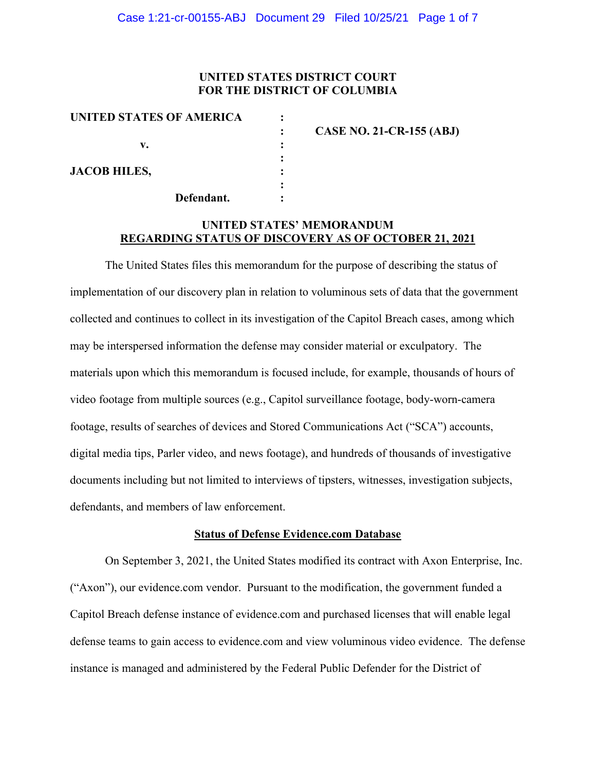### **UNITED STATES DISTRICT COURT FOR THE DISTRICT OF COLUMBIA**

| UNITED STATES OF AMERICA |           |                                 |
|--------------------------|-----------|---------------------------------|
|                          |           | <b>CASE NO. 21-CR-155 (ABJ)</b> |
| v.                       |           |                                 |
|                          |           |                                 |
| <b>JACOB HILES,</b>      |           |                                 |
|                          | $\bullet$ |                                 |
| Defendant.               |           |                                 |

## **UNITED STATES' MEMORANDUM REGARDING STATUS OF DISCOVERY AS OF OCTOBER 21, 2021**

The United States files this memorandum for the purpose of describing the status of implementation of our discovery plan in relation to voluminous sets of data that the government collected and continues to collect in its investigation of the Capitol Breach cases, among which may be interspersed information the defense may consider material or exculpatory. The materials upon which this memorandum is focused include, for example, thousands of hours of video footage from multiple sources (e.g., Capitol surveillance footage, body-worn-camera footage, results of searches of devices and Stored Communications Act ("SCA") accounts, digital media tips, Parler video, and news footage), and hundreds of thousands of investigative documents including but not limited to interviews of tipsters, witnesses, investigation subjects, defendants, and members of law enforcement.

#### **Status of Defense Evidence.com Database**

On September 3, 2021, the United States modified its contract with Axon Enterprise, Inc. ("Axon"), our evidence.com vendor. Pursuant to the modification, the government funded a Capitol Breach defense instance of evidence.com and purchased licenses that will enable legal defense teams to gain access to evidence.com and view voluminous video evidence. The defense instance is managed and administered by the Federal Public Defender for the District of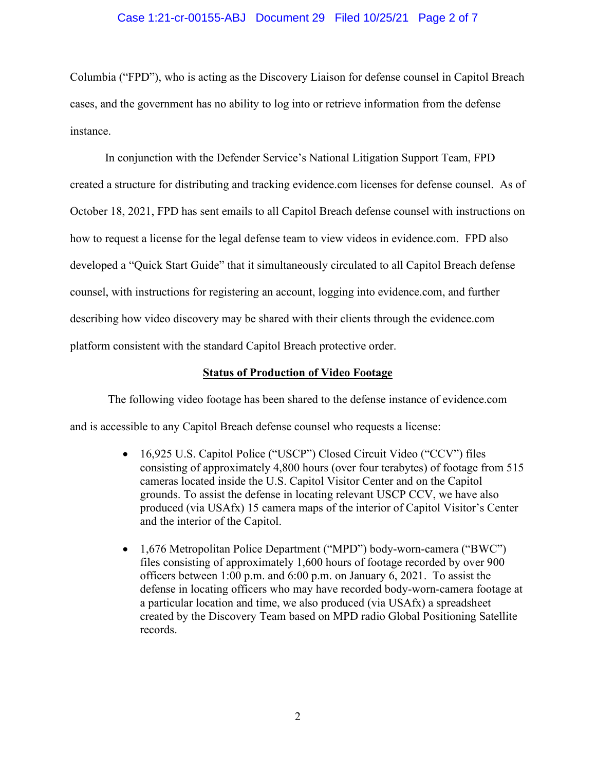### Case 1:21-cr-00155-ABJ Document 29 Filed 10/25/21 Page 2 of 7

Columbia ("FPD"), who is acting as the Discovery Liaison for defense counsel in Capitol Breach cases, and the government has no ability to log into or retrieve information from the defense instance.

In conjunction with the Defender Service's National Litigation Support Team, FPD created a structure for distributing and tracking evidence.com licenses for defense counsel. As of October 18, 2021, FPD has sent emails to all Capitol Breach defense counsel with instructions on how to request a license for the legal defense team to view videos in evidence.com. FPD also developed a "Quick Start Guide" that it simultaneously circulated to all Capitol Breach defense counsel, with instructions for registering an account, logging into evidence.com, and further describing how video discovery may be shared with their clients through the evidence.com platform consistent with the standard Capitol Breach protective order.

### **Status of Production of Video Footage**

The following video footage has been shared to the defense instance of evidence.com and is accessible to any Capitol Breach defense counsel who requests a license:

- 16,925 U.S. Capitol Police ("USCP") Closed Circuit Video ("CCV") files consisting of approximately 4,800 hours (over four terabytes) of footage from 515 cameras located inside the U.S. Capitol Visitor Center and on the Capitol grounds. To assist the defense in locating relevant USCP CCV, we have also produced (via USAfx) 15 camera maps of the interior of Capitol Visitor's Center and the interior of the Capitol.
- 1,676 Metropolitan Police Department ("MPD") body-worn-camera ("BWC") files consisting of approximately 1,600 hours of footage recorded by over 900 officers between 1:00 p.m. and 6:00 p.m. on January 6, 2021. To assist the defense in locating officers who may have recorded body-worn-camera footage at a particular location and time, we also produced (via USAfx) a spreadsheet created by the Discovery Team based on MPD radio Global Positioning Satellite records.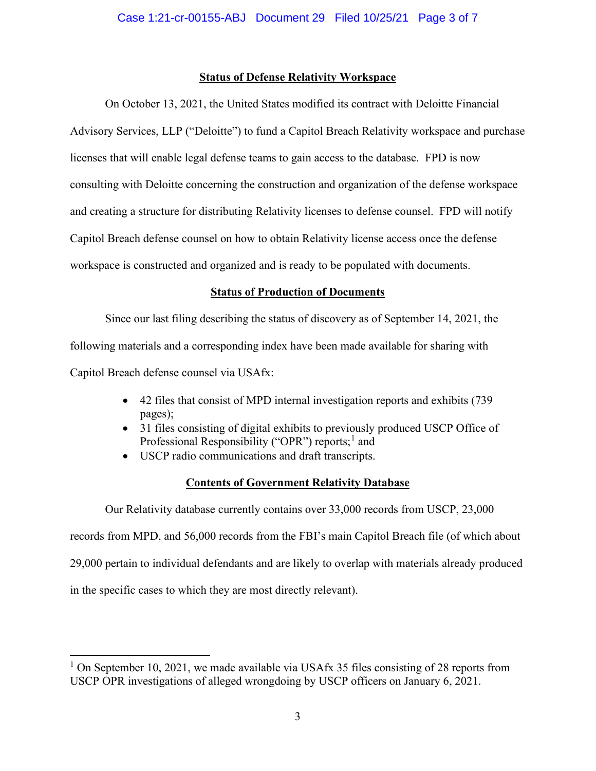### **Status of Defense Relativity Workspace**

On October 13, 2021, the United States modified its contract with Deloitte Financial Advisory Services, LLP ("Deloitte") to fund a Capitol Breach Relativity workspace and purchase licenses that will enable legal defense teams to gain access to the database. FPD is now consulting with Deloitte concerning the construction and organization of the defense workspace and creating a structure for distributing Relativity licenses to defense counsel. FPD will notify Capitol Breach defense counsel on how to obtain Relativity license access once the defense workspace is constructed and organized and is ready to be populated with documents.

## **Status of Production of Documents**

Since our last filing describing the status of discovery as of September 14, 2021, the following materials and a corresponding index have been made available for sharing with Capitol Breach defense counsel via USAfx:

- 42 files that consist of MPD internal investigation reports and exhibits (739 pages);
- 31 files consisting of digital exhibits to previously produced USCP Office of Professional Responsibility ("OPR") reports;<sup>1</sup> and
- USCP radio communications and draft transcripts.

## **Contents of Government Relativity Database**

Our Relativity database currently contains over 33,000 records from USCP, 23,000 records from MPD, and 56,000 records from the FBI's main Capitol Breach file (of which about 29,000 pertain to individual defendants and are likely to overlap with materials already produced in the specific cases to which they are most directly relevant).

<sup>&</sup>lt;sup>1</sup> On September 10, 2021, we made available via USAfx 35 files consisting of 28 reports from USCP OPR investigations of alleged wrongdoing by USCP officers on January 6, 2021.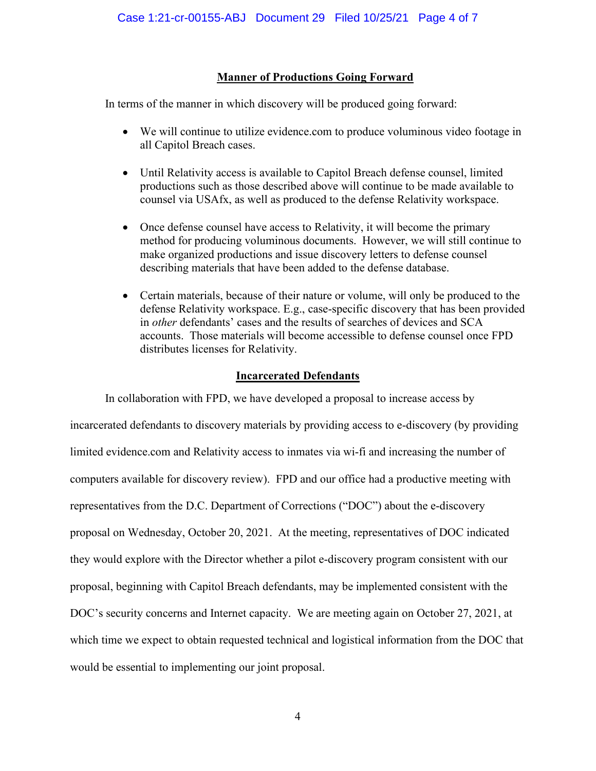## **Manner of Productions Going Forward**

In terms of the manner in which discovery will be produced going forward:

- We will continue to utilize evidence.com to produce voluminous video footage in all Capitol Breach cases.
- Until Relativity access is available to Capitol Breach defense counsel, limited productions such as those described above will continue to be made available to counsel via USAfx, as well as produced to the defense Relativity workspace.
- Once defense counsel have access to Relativity, it will become the primary method for producing voluminous documents. However, we will still continue to make organized productions and issue discovery letters to defense counsel describing materials that have been added to the defense database.
- Certain materials, because of their nature or volume, will only be produced to the defense Relativity workspace. E.g., case-specific discovery that has been provided in *other* defendants' cases and the results of searches of devices and SCA accounts. Those materials will become accessible to defense counsel once FPD distributes licenses for Relativity.

## **Incarcerated Defendants**

In collaboration with FPD, we have developed a proposal to increase access by incarcerated defendants to discovery materials by providing access to e-discovery (by providing limited evidence.com and Relativity access to inmates via wi-fi and increasing the number of computers available for discovery review). FPD and our office had a productive meeting with representatives from the D.C. Department of Corrections ("DOC") about the e-discovery proposal on Wednesday, October 20, 2021. At the meeting, representatives of DOC indicated they would explore with the Director whether a pilot e-discovery program consistent with our proposal, beginning with Capitol Breach defendants, may be implemented consistent with the DOC's security concerns and Internet capacity. We are meeting again on October 27, 2021, at which time we expect to obtain requested technical and logistical information from the DOC that would be essential to implementing our joint proposal.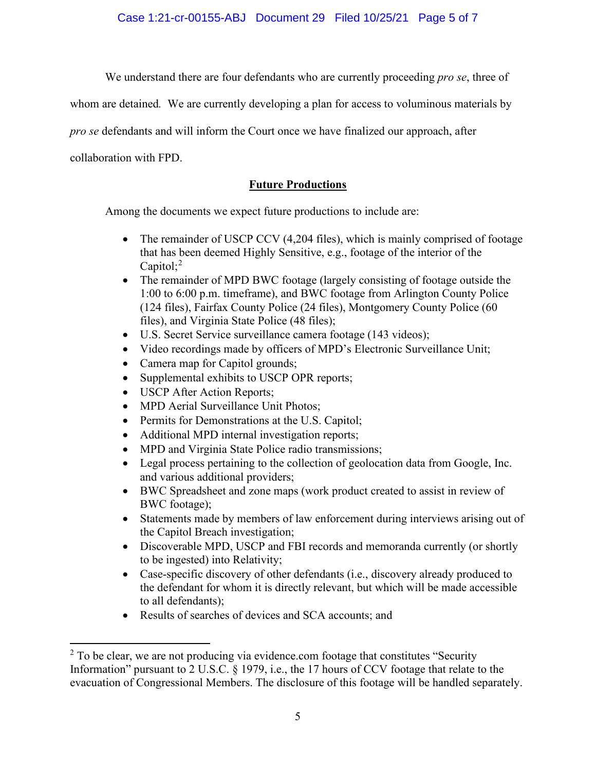Case 1:21-cr-00155-ABJ Document 29 Filed 10/25/21 Page 5 of 7

We understand there are four defendants who are currently proceeding *pro se*, three of

whom are detained*.* We are currently developing a plan for access to voluminous materials by

*pro se* defendants and will inform the Court once we have finalized our approach, after

collaboration with FPD.

# **Future Productions**

Among the documents we expect future productions to include are:

- The remainder of USCP CCV (4,204 files), which is mainly comprised of footage that has been deemed Highly Sensitive, e.g., footage of the interior of the Capitol;<sup>2</sup>
- The remainder of MPD BWC footage (largely consisting of footage outside the 1:00 to 6:00 p.m. timeframe), and BWC footage from Arlington County Police (124 files), Fairfax County Police (24 files), Montgomery County Police (60 files), and Virginia State Police (48 files);
- U.S. Secret Service surveillance camera footage (143 videos);
- Video recordings made by officers of MPD's Electronic Surveillance Unit;
- Camera map for Capitol grounds;
- Supplemental exhibits to USCP OPR reports;
- USCP After Action Reports;
- MPD Aerial Surveillance Unit Photos;
- Permits for Demonstrations at the U.S. Capitol;
- Additional MPD internal investigation reports;
- MPD and Virginia State Police radio transmissions;
- Legal process pertaining to the collection of geolocation data from Google, Inc. and various additional providers;
- BWC Spreadsheet and zone maps (work product created to assist in review of BWC footage);
- Statements made by members of law enforcement during interviews arising out of the Capitol Breach investigation;
- Discoverable MPD, USCP and FBI records and memoranda currently (or shortly to be ingested) into Relativity;
- Case-specific discovery of other defendants (i.e., discovery already produced to the defendant for whom it is directly relevant, but which will be made accessible to all defendants);
- Results of searches of devices and SCA accounts; and

 $2$  To be clear, we are not producing via evidence.com footage that constitutes "Security Information" pursuant to 2 U.S.C. § 1979, i.e., the 17 hours of CCV footage that relate to the evacuation of Congressional Members. The disclosure of this footage will be handled separately.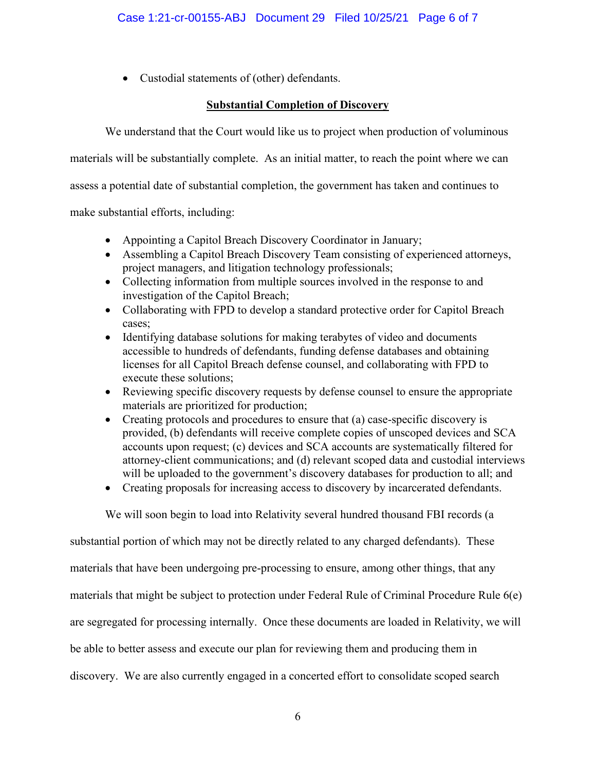• Custodial statements of (other) defendants.

## **Substantial Completion of Discovery**

We understand that the Court would like us to project when production of voluminous

materials will be substantially complete. As an initial matter, to reach the point where we can

assess a potential date of substantial completion, the government has taken and continues to

make substantial efforts, including:

- Appointing a Capitol Breach Discovery Coordinator in January;
- Assembling a Capitol Breach Discovery Team consisting of experienced attorneys, project managers, and litigation technology professionals;
- Collecting information from multiple sources involved in the response to and investigation of the Capitol Breach;
- Collaborating with FPD to develop a standard protective order for Capitol Breach cases;
- Identifying database solutions for making terabytes of video and documents accessible to hundreds of defendants, funding defense databases and obtaining licenses for all Capitol Breach defense counsel, and collaborating with FPD to execute these solutions;
- Reviewing specific discovery requests by defense counsel to ensure the appropriate materials are prioritized for production;
- Creating protocols and procedures to ensure that (a) case-specific discovery is provided, (b) defendants will receive complete copies of unscoped devices and SCA accounts upon request; (c) devices and SCA accounts are systematically filtered for attorney-client communications; and (d) relevant scoped data and custodial interviews will be uploaded to the government's discovery databases for production to all; and
- Creating proposals for increasing access to discovery by incarcerated defendants.

We will soon begin to load into Relativity several hundred thousand FBI records (a

substantial portion of which may not be directly related to any charged defendants). These materials that have been undergoing pre-processing to ensure, among other things, that any materials that might be subject to protection under Federal Rule of Criminal Procedure Rule 6(e) are segregated for processing internally. Once these documents are loaded in Relativity, we will be able to better assess and execute our plan for reviewing them and producing them in discovery. We are also currently engaged in a concerted effort to consolidate scoped search